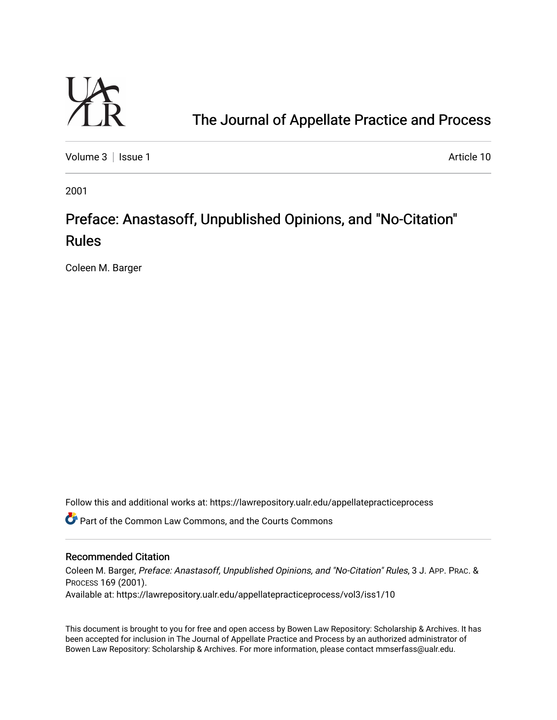

## [The Journal of Appellate Practice and Process](https://lawrepository.ualr.edu/appellatepracticeprocess)

[Volume 3](https://lawrepository.ualr.edu/appellatepracticeprocess/vol3) | [Issue 1](https://lawrepository.ualr.edu/appellatepracticeprocess/vol3/iss1) Article 10

2001

## Preface: Anastasoff, Unpublished Opinions, and "No-Citation" Rules

Coleen M. Barger

Follow this and additional works at: [https://lawrepository.ualr.edu/appellatepracticeprocess](https://lawrepository.ualr.edu/appellatepracticeprocess?utm_source=lawrepository.ualr.edu%2Fappellatepracticeprocess%2Fvol3%2Fiss1%2F10&utm_medium=PDF&utm_campaign=PDFCoverPages) 

**C** Part of the [Common Law Commons,](http://network.bepress.com/hgg/discipline/1120?utm_source=lawrepository.ualr.edu%2Fappellatepracticeprocess%2Fvol3%2Fiss1%2F10&utm_medium=PDF&utm_campaign=PDFCoverPages) and the Courts Commons

#### Recommended Citation

Coleen M. Barger, Preface: Anastasoff, Unpublished Opinions, and "No-Citation" Rules, 3 J. APP. PRAC. & PROCESS 169 (2001). Available at: https://lawrepository.ualr.edu/appellatepracticeprocess/vol3/iss1/10

This document is brought to you for free and open access by [Bowen Law Repository: Scholarship & Archives.](macro%20site.link) It has been accepted for inclusion in The Journal of Appellate Practice and Process by an authorized administrator of Bowen Law Repository: Scholarship & Archives. For more information, please contact [mmserfass@ualr.edu.](mailto:mmserfass@ualr.edu)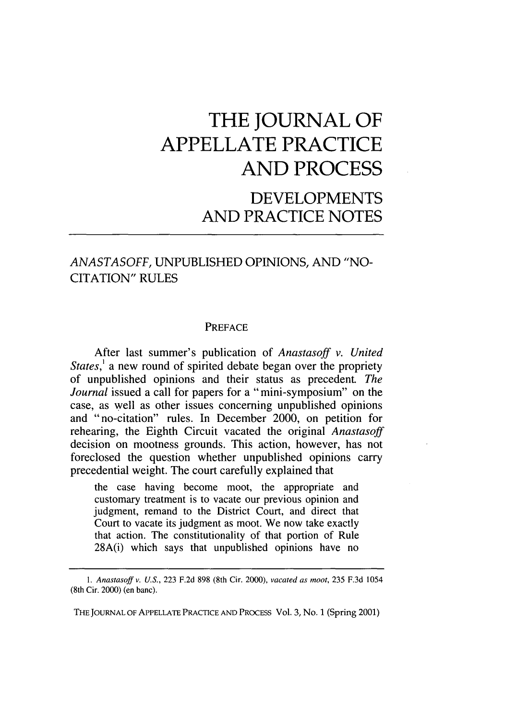# **THE JOURNAL OF APPELLATE PRACTICE AND PROCESS**

### DEVELOPMENTS AND PRACTICE NOTES

### *ANASTASOFF,* UNPUBLISHED OPINIONS, AND "NO-CITATION" RULES

#### PREFACE

After last summer's publication of *Anastasoff v. United States,'* a new round of spirited debate began over the propriety of unpublished opinions and their status as precedent. *The Journal* issued a call for papers for a "mini-symposium" on the case, as well as other issues concerning unpublished opinions and "no-citation" rules. In December 2000, on petition for rehearing, the Eighth Circuit vacated the original *Anastasoff* decision on mootness grounds. This action, however, has not foreclosed the question whether unpublished opinions carry precedential weight. The court carefully explained that

the case having become moot, the appropriate and customary treatment is to vacate our previous opinion and judgment, remand to the District Court, and direct that Court to vacate its judgment as moot. We now take exactly that action. The constitutionality of that portion of Rule 28A(i) which says that unpublished opinions have no

*<sup>1.</sup> Anastasoff v. U.S.,* 223 F.2d 898 (8th Cir. 2000), *vacated as moot,* 235 F.3d 1054 (8th Cir. 2000) (en banc).

THE **JOURNAL** OF **APPELLATE** PRACTICE **AND** PROCESS Vol. 3, No. 1 (Spring 2001)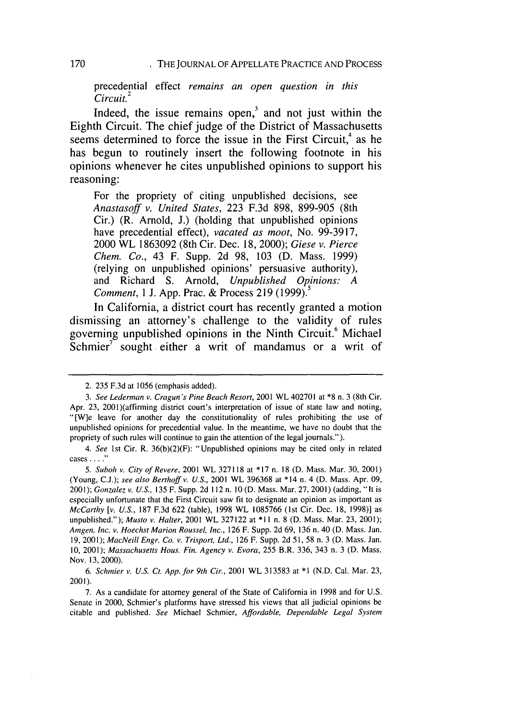precedential effect *remains an open question in this Circuit.2*

Indeed, the issue remains open, $3$  and not just within the Eighth Circuit. The chief judge of the District of Massachusetts seems determined to force the issue in the First Circuit, $4$  as he has begun to routinely insert the following footnote in his opinions whenever he cites unpublished opinions to support his reasoning:

For the propriety of citing unpublished decisions, see *Anastasoff v. United States,* **223 F.3d 898, 899-905** (8th Cir.) (R. Arnold, **J.)** (holding that unpublished opinions have precedential effect), *vacated as moot,* No. **99-3917,** 2000 WL **1863092** (8th Cir. Dec. **18,** 2000); *Giese v. Pierce Chem. Co.,* 43 F. Supp. **2d 98, 103 (D.** Mass. **1999)** (relying on unpublished opinions' persuasive authority), and Richard **S.** Arnold, *Unpublished Opinions.- A Comment,* **1 J. App.** Prac. **&** Process **219 (1999). <sup>5</sup>**

In California, a district court has recently granted a motion dismissing an attorney's challenge to the validity of rules governing unpublished opinions in the Ninth Circuit.<sup>6</sup> Michael Schmier<sup>7</sup> sought either a writ of mandamus or a writ of

<sup>2. 235</sup> F.3d at 1056 (emphasis added).

<sup>3.</sup> See Lederman v. Cragun's Pine Beach Resort, 2001 WL 402701 at \*8 n. 3 (8th Cir. Apr. 23, 2001)(affirming district court's interpretation of issue of state law and noting, "[W]e leave for another day the constitutionality of rules prohibiting the use of unpublished opinions for precedential value. In the meantime, we have no doubt that the propriety of such rules will continue to gain the attention of the legal journals.").

<sup>4.</sup> See 1st Cir. R. 36(b)(2)(F): "Unpublished opinions may be cited only in related cases .... **"**

<sup>5.</sup> Suboh v. City of Revere, 2001 WL 327118 at **\*17** n. 18 (D. Mass. Mar. 30, 2001) (Young, C.J.); see also Berthoff v. *U.S.,* 2001 WL 396368 at \*14 n. 4 (D. Mass. Apr. 09, 2001); Gonzalez v. U.S., 135 F. Supp. 2d 112 n. 10 (D. Mass. Mar. **27,** 2001) (adding, "It is especially unfortunate that the First Circuit saw fit to designate an opinion as important as McCarthy [v. U.S., 187 F.3d 622 (table), 1998 WL 1085766 (1st Cir. Dec. 18, 1998)] as unpublished."); Musto v. Halter, 2001 WL 327122 at \*11 n. 8 (D. Mass. Mar. 23, 2001); Amgen, Inc. v. Hoechst Marion Roussel, Inc., 126 F. Supp. 2d 69, 136 n. 40 (D. Mass. Jan. 19, 2001); MacNeill Engr. Co. v. Trisport, Ltd., 126 F. Supp. 2d 51, 58 n. 3 (D. Mass. Jan. 10, 2001); Massachusetts Hous. Fin. Agency v. Evora, 255 B.R. 336, 343 n. 3 (D. Mass. Nov. 13, 2000).

<sup>6.</sup> Schmier v. U.S. Ct. App. for 9th Cir., 2001 WL 313583 at \*1 (N.D. Cal. Mar. 23, 2001).

<sup>7.</sup> As a candidate for attorney general of the State of California in 1998 and for U.S. Senate in 2000, Schmier's platforms have stressed his views that all judicial opinions be citable and published. See Michael Schmier, Affordable, Dependable Legal System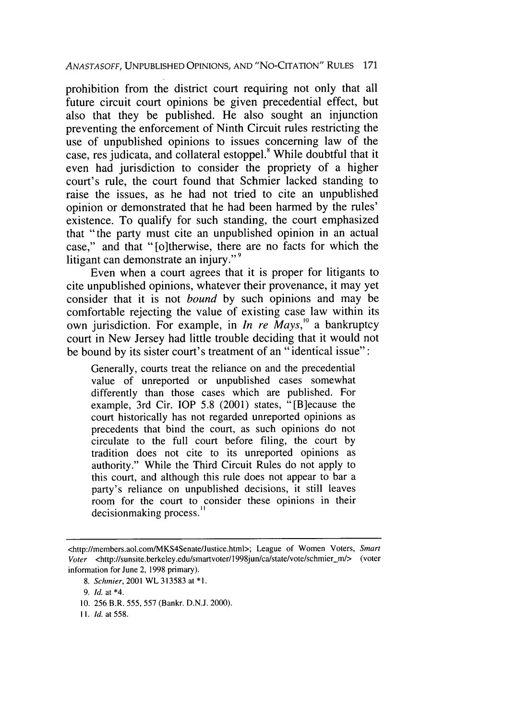*ANASTASOFF,* UNPUBLISHED OPINIONS, AND "No-CITATION" **RULES** 171

prohibition from the district court requiring not only that all future circuit court opinions be given precedential effect, but also that they be published. He also sought an injunction preventing the enforcement of Ninth Circuit rules restricting the use of unpublished opinions to issues concerning law of the case, res judicata, and collateral estoppel.8 While doubtful that it even had jurisdiction to consider the propriety of a higher court's rule, the court found that Schmier lacked standing to raise the issues, as he had not tried to cite an unpublished opinion or demonstrated that he had been harmed by the rules' existence. To qualify for such standing, the court emphasized that "the party must cite an unpublished opinion in an actual case," and that "[o]therwise, there are no facts for which the litigant can demonstrate an injury."<sup>9</sup>

Even when a court agrees that it is proper for litigants to cite unpublished opinions, whatever their provenance, it may yet consider that it is not *bound* by such opinions and may be comfortable rejecting the value of existing case law within its own jurisdiction. For example, in *In re Mays,'°* a bankruptcy court in New Jersey had little trouble deciding that it would not be bound by its sister court's treatment of an "identical issue":

Generally, courts treat the reliance on and the precedential value of unreported or unpublished cases somewhat differently than those cases which are published. For example, 3rd Cir. IOP 5.8 (2001) states, "[B]ecause the court historically has not regarded unreported opinions as precedents that bind the court, as such opinions do not circulate to the full court before filing, the court by tradition does not cite to its unreported opinions as authority." While the Third Circuit Rules do not apply to this court, and although this rule does not appear to bar a party's reliance on unpublished decisions, it still leaves room for the court to consider these opinions in their decisionmaking process.<sup>11</sup>

*I1.* **Id.** at 558.

<sup>&</sup>lt;http://members.aol.com/MKS4Senate/Justice.html>; League of Women Voters, Smart Voter <http://sunsite.berkeley.edu/smartvoter/1998jun/ca/state/vote/schmier\_m/> (voter information for June 2, 1998 primary).

*<sup>8.</sup>* Schmier, 2001 WL 313583 at \*1.

<sup>9.</sup> *Id.* at \*4.

**<sup>10.</sup>** 256 B.R. 555, **557** (Bankr. D.N.J. 2000).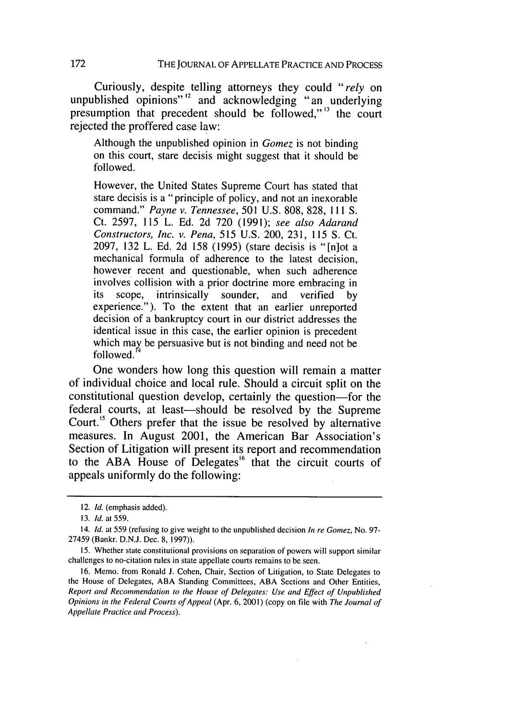Curiously, despite telling attorneys they could *"rely* on unpublished opinions"<sup>12</sup> and acknowledging "an underlying presumption that precedent should be followed," **"** the court rejected the proffered case law:

Although the unpublished opinion in *Gomez* is not binding on this court, stare decisis might suggest that it should be followed.

However, the United States Supreme Court has stated that stare decisis is a "principle of policy, and not an inexorable command." *Payne v. Tennessee,* 501 U.S. 808, 828, 111 **S.** Ct. 2597, 115 L. Ed. 2d 720 (1991); *see also Adarand Constructors, Inc. v. Pena,* 515 U.S. 200, 231, 115 **S.** Ct. 2097, 132 L. Ed. 2d 158 (1995) (stare decisis is "[n]ot a mechanical formula of adherence to the latest decision, however recent and questionable, when such adherence involves collision with a prior doctrine more embracing in its scope, intrinsically sounder, and verified by experience."). To the extent that an earlier unreported decision of a bankruptcy court in our district addresses the identical issue in this case, the earlier opinion is precedent which may be persuasive but is not binding and need not be followed.

One wonders how long this question will remain a matter of individual choice and local rule. Should a circuit split on the constitutional question develop, certainly the question-for the federal courts, at least—should be resolved by the Supreme Court.<sup>15</sup> Others prefer that the issue be resolved by alternative measures. In August 2001, the American Bar Association's Section of Litigation will present its report and recommendation to the ABA House of  $\hat{\text{Delegates}}^{\text{16}}$  that the circuit courts of appeals uniformly do the following:

<sup>12.</sup> *Id.* (emphasis added).

*<sup>13.</sup> Id.* at **559.**

<sup>14.</sup> **Id.** at 559 (refusing to give weight to the unpublished decision *In re Gomez,* No. 97- **27459** (Bankr. D.N.J. Dec. 8, 1997)).

<sup>15.</sup> Whether state constitutional provisions on separation of powers will support similar challenges to no-citation rules in state appellate courts remains to be seen.

<sup>16.</sup> Memo. from Ronald J. Cohen, Chair, Section of Litigation, to State Delegates to the House of Delegates, ABA Standing Committees, ABA Sections and Other Entities, Report and Recommendation to the House of Delegates: Use and Effect of Unpublished Opinions in the Federal Courts of Appeal (Apr. 6, 2001) (copy on file with The Journal of Appellate Practice and Process).